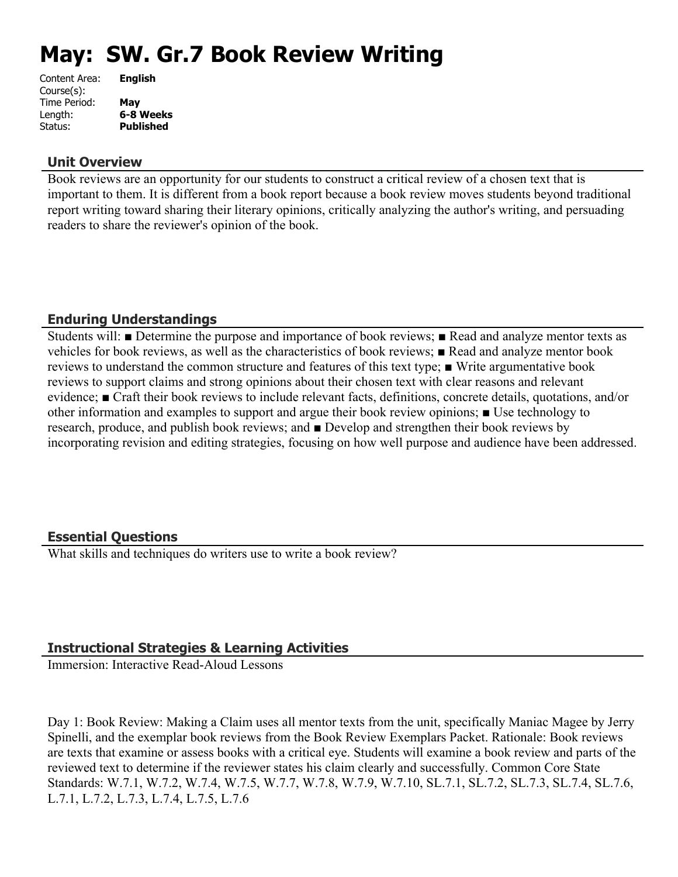# **May: SW. Gr.7 Book Review Writing**

| Content Area: | <b>English</b>   |
|---------------|------------------|
| Course(s):    |                  |
| Time Period:  | Mav              |
| Length:       | 6-8 Weeks        |
| Status:       | <b>Published</b> |
|               |                  |

#### **Unit Overview**

Book reviews are an opportunity for our students to construct a critical review of a chosen text that is important to them. It is different from a book report because a book review moves students beyond traditional report writing toward sharing their literary opinions, critically analyzing the author's writing, and persuading readers to share the reviewer's opinion of the book.

## **Enduring Understandings**

Students will: ■ Determine the purpose and importance of book reviews; ■ Read and analyze mentor texts as vehicles for book reviews, as well as the characteristics of book reviews; ■ Read and analyze mentor book reviews to understand the common structure and features of this text type; ■ Write argumentative book reviews to support claims and strong opinions about their chosen text with clear reasons and relevant evidence; ■ Craft their book reviews to include relevant facts, definitions, concrete details, quotations, and/or other information and examples to support and argue their book review opinions; ■ Use technology to research, produce, and publish book reviews; and ■ Develop and strengthen their book reviews by incorporating revision and editing strategies, focusing on how well purpose and audience have been addressed.

## **Essential Questions**

What skills and techniques do writers use to write a book review?

## **Instructional Strategies & Learning Activities**

Immersion: Interactive Read-Aloud Lessons

Day 1: Book Review: Making a Claim uses all mentor texts from the unit, specifically Maniac Magee by Jerry Spinelli, and the exemplar book reviews from the Book Review Exemplars Packet. Rationale: Book reviews are texts that examine or assess books with a critical eye. Students will examine a book review and parts of the reviewed text to determine if the reviewer states his claim clearly and successfully. Common Core State Standards: W.7.1, W.7.2, W.7.4, W.7.5, W.7.7, W.7.8, W.7.9, W.7.10, SL.7.1, SL.7.2, SL.7.3, SL.7.4, SL.7.6, L.7.1, L.7.2, L.7.3, L.7.4, L.7.5, L.7.6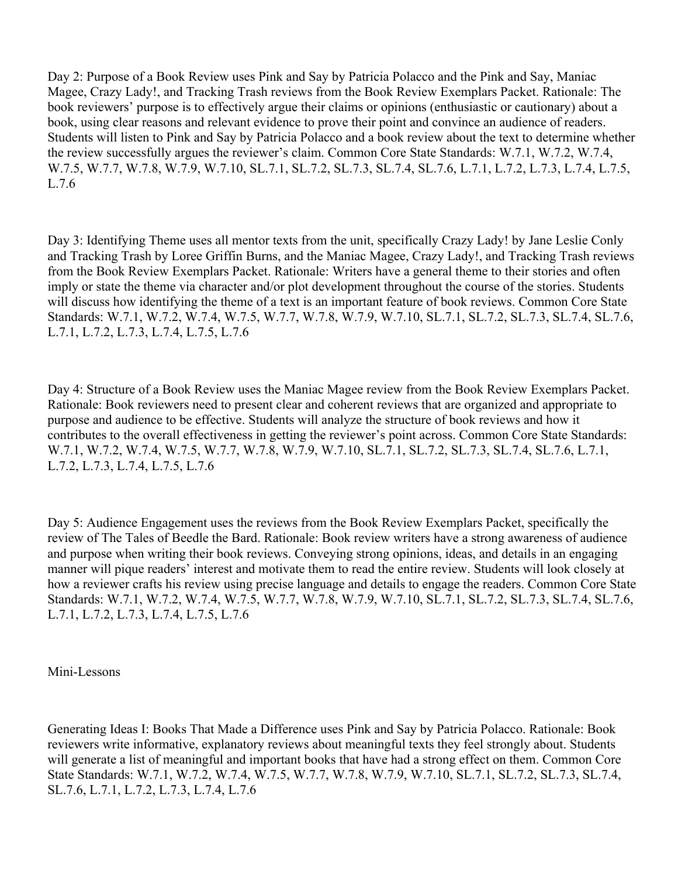Day 2: Purpose of a Book Review uses Pink and Say by Patricia Polacco and the Pink and Say, Maniac Magee, Crazy Lady!, and Tracking Trash reviews from the Book Review Exemplars Packet. Rationale: The book reviewers' purpose is to effectively argue their claims or opinions (enthusiastic or cautionary) about a book, using clear reasons and relevant evidence to prove their point and convince an audience of readers. Students will listen to Pink and Say by Patricia Polacco and a book review about the text to determine whether the review successfully argues the reviewer's claim. Common Core State Standards: W.7.1, W.7.2, W.7.4, W.7.5, W.7.7, W.7.8, W.7.9, W.7.10, SL.7.1, SL.7.2, SL.7.3, SL.7.4, SL.7.6, L.7.1, L.7.2, L.7.3, L.7.4, L.7.5, L.7.6

Day 3: Identifying Theme uses all mentor texts from the unit, specifically Crazy Lady! by Jane Leslie Conly and Tracking Trash by Loree Griffin Burns, and the Maniac Magee, Crazy Lady!, and Tracking Trash reviews from the Book Review Exemplars Packet. Rationale: Writers have a general theme to their stories and often imply or state the theme via character and/or plot development throughout the course of the stories. Students will discuss how identifying the theme of a text is an important feature of book reviews. Common Core State Standards: W.7.1, W.7.2, W.7.4, W.7.5, W.7.7, W.7.8, W.7.9, W.7.10, SL.7.1, SL.7.2, SL.7.3, SL.7.4, SL.7.6, L.7.1, L.7.2, L.7.3, L.7.4, L.7.5, L.7.6

Day 4: Structure of a Book Review uses the Maniac Magee review from the Book Review Exemplars Packet. Rationale: Book reviewers need to present clear and coherent reviews that are organized and appropriate to purpose and audience to be effective. Students will analyze the structure of book reviews and how it contributes to the overall effectiveness in getting the reviewer's point across. Common Core State Standards: W.7.1, W.7.2, W.7.4, W.7.5, W.7.7, W.7.8, W.7.9, W.7.10, SL.7.1, SL.7.2, SL.7.3, SL.7.4, SL.7.6, L.7.1, L.7.2, L.7.3, L.7.4, L.7.5, L.7.6

Day 5: Audience Engagement uses the reviews from the Book Review Exemplars Packet, specifically the review of The Tales of Beedle the Bard. Rationale: Book review writers have a strong awareness of audience and purpose when writing their book reviews. Conveying strong opinions, ideas, and details in an engaging manner will pique readers' interest and motivate them to read the entire review. Students will look closely at how a reviewer crafts his review using precise language and details to engage the readers. Common Core State Standards: W.7.1, W.7.2, W.7.4, W.7.5, W.7.7, W.7.8, W.7.9, W.7.10, SL.7.1, SL.7.2, SL.7.3, SL.7.4, SL.7.6, L.7.1, L.7.2, L.7.3, L.7.4, L.7.5, L.7.6

Mini-Lessons

Generating Ideas I: Books That Made a Difference uses Pink and Say by Patricia Polacco. Rationale: Book reviewers write informative, explanatory reviews about meaningful texts they feel strongly about. Students will generate a list of meaningful and important books that have had a strong effect on them. Common Core State Standards: W.7.1, W.7.2, W.7.4, W.7.5, W.7.7, W.7.8, W.7.9, W.7.10, SL.7.1, SL.7.2, SL.7.3, SL.7.4, SL.7.6, L.7.1, L.7.2, L.7.3, L.7.4, L.7.6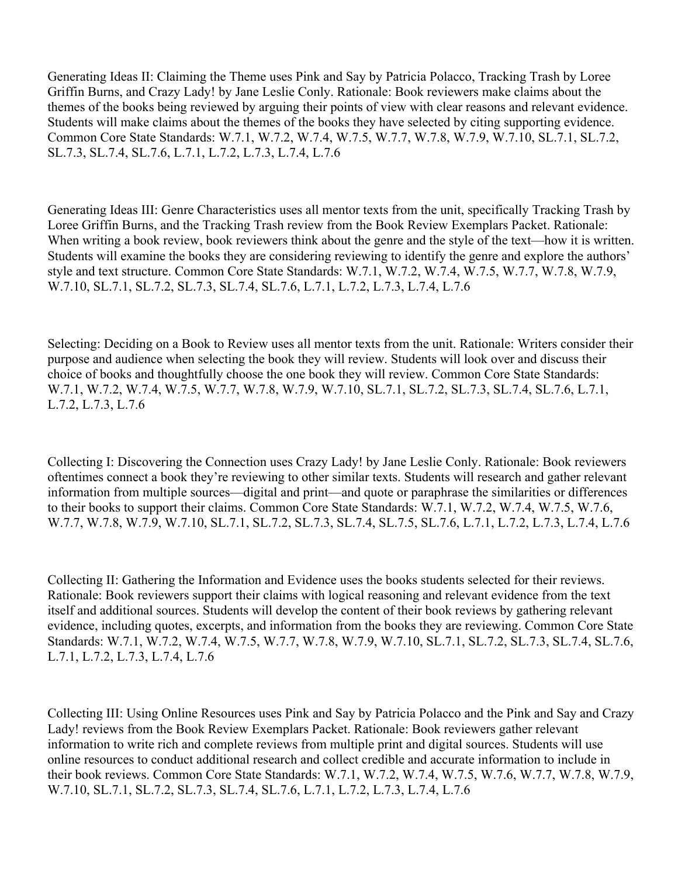Generating Ideas II: Claiming the Theme uses Pink and Say by Patricia Polacco, Tracking Trash by Loree Griffin Burns, and Crazy Lady! by Jane Leslie Conly. Rationale: Book reviewers make claims about the themes of the books being reviewed by arguing their points of view with clear reasons and relevant evidence. Students will make claims about the themes of the books they have selected by citing supporting evidence. Common Core State Standards: W.7.1, W.7.2, W.7.4, W.7.5, W.7.7, W.7.8, W.7.9, W.7.10, SL.7.1, SL.7.2, SL.7.3, SL.7.4, SL.7.6, L.7.1, L.7.2, L.7.3, L.7.4, L.7.6

Generating Ideas III: Genre Characteristics uses all mentor texts from the unit, specifically Tracking Trash by Loree Griffin Burns, and the Tracking Trash review from the Book Review Exemplars Packet. Rationale: When writing a book review, book reviewers think about the genre and the style of the text—how it is written. Students will examine the books they are considering reviewing to identify the genre and explore the authors' style and text structure. Common Core State Standards: W.7.1, W.7.2, W.7.4, W.7.5, W.7.7, W.7.8, W.7.9, W.7.10, SL.7.1, SL.7.2, SL.7.3, SL.7.4, SL.7.6, L.7.1, L.7.2, L.7.3, L.7.4, L.7.6

Selecting: Deciding on a Book to Review uses all mentor texts from the unit. Rationale: Writers consider their purpose and audience when selecting the book they will review. Students will look over and discuss their choice of books and thoughtfully choose the one book they will review. Common Core State Standards: W.7.1, W.7.2, W.7.4, W.7.5, W.7.7, W.7.8, W.7.9, W.7.10, SL.7.1, SL.7.2, SL.7.3, SL.7.4, SL.7.6, L.7.1, L.7.2, L.7.3, L.7.6

Collecting I: Discovering the Connection uses Crazy Lady! by Jane Leslie Conly. Rationale: Book reviewers oftentimes connect a book they're reviewing to other similar texts. Students will research and gather relevant information from multiple sources—digital and print—and quote or paraphrase the similarities or differences to their books to support their claims. Common Core State Standards: W.7.1, W.7.2, W.7.4, W.7.5, W.7.6, W.7.7, W.7.8, W.7.9, W.7.10, SL.7.1, SL.7.2, SL.7.3, SL.7.4, SL.7.5, SL.7.6, L.7.1, L.7.2, L.7.3, L.7.4, L.7.6

Collecting II: Gathering the Information and Evidence uses the books students selected for their reviews. Rationale: Book reviewers support their claims with logical reasoning and relevant evidence from the text itself and additional sources. Students will develop the content of their book reviews by gathering relevant evidence, including quotes, excerpts, and information from the books they are reviewing. Common Core State Standards: W.7.1, W.7.2, W.7.4, W.7.5, W.7.7, W.7.8, W.7.9, W.7.10, SL.7.1, SL.7.2, SL.7.3, SL.7.4, SL.7.6, L.7.1, L.7.2, L.7.3, L.7.4, L.7.6

Collecting III: Using Online Resources uses Pink and Say by Patricia Polacco and the Pink and Say and Crazy Lady! reviews from the Book Review Exemplars Packet. Rationale: Book reviewers gather relevant information to write rich and complete reviews from multiple print and digital sources. Students will use online resources to conduct additional research and collect credible and accurate information to include in their book reviews. Common Core State Standards: W.7.1, W.7.2, W.7.4, W.7.5, W.7.6, W.7.7, W.7.8, W.7.9, W.7.10, SL.7.1, SL.7.2, SL.7.3, SL.7.4, SL.7.6, L.7.1, L.7.2, L.7.3, L.7.4, L.7.6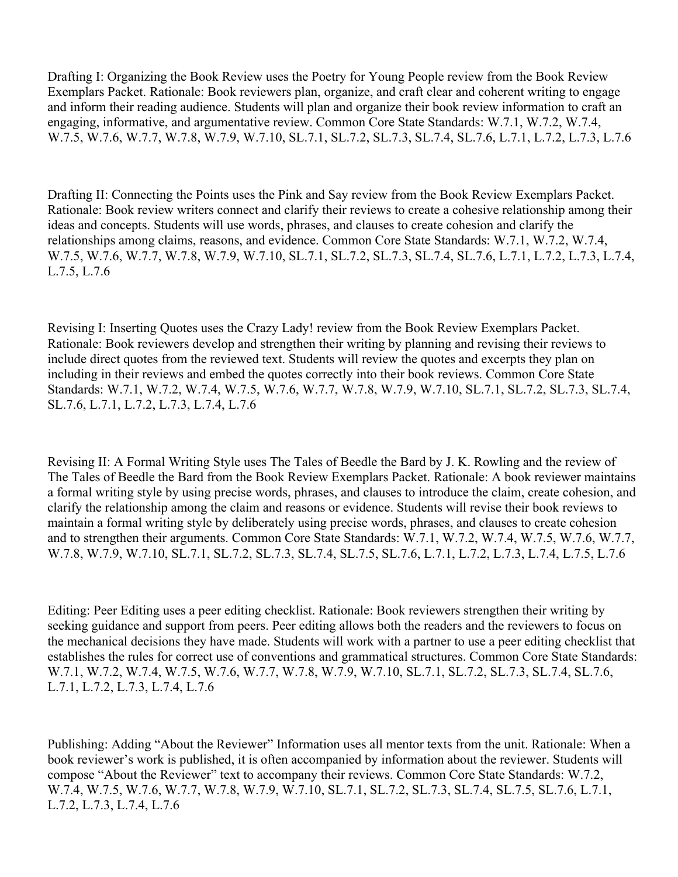Drafting I: Organizing the Book Review uses the Poetry for Young People review from the Book Review Exemplars Packet. Rationale: Book reviewers plan, organize, and craft clear and coherent writing to engage and inform their reading audience. Students will plan and organize their book review information to craft an engaging, informative, and argumentative review. Common Core State Standards: W.7.1, W.7.2, W.7.4, W.7.5, W.7.6, W.7.7, W.7.8, W.7.9, W.7.10, SL.7.1, SL.7.2, SL.7.3, SL.7.4, SL.7.6, L.7.1, L.7.2, L.7.3, L.7.6

Drafting II: Connecting the Points uses the Pink and Say review from the Book Review Exemplars Packet. Rationale: Book review writers connect and clarify their reviews to create a cohesive relationship among their ideas and concepts. Students will use words, phrases, and clauses to create cohesion and clarify the relationships among claims, reasons, and evidence. Common Core State Standards: W.7.1, W.7.2, W.7.4, W.7.5, W.7.6, W.7.7, W.7.8, W.7.9, W.7.10, SL.7.1, SL.7.2, SL.7.3, SL.7.4, SL.7.6, L.7.1, L.7.2, L.7.3, L.7.4, L.7.5, L.7.6

Revising I: Inserting Quotes uses the Crazy Lady! review from the Book Review Exemplars Packet. Rationale: Book reviewers develop and strengthen their writing by planning and revising their reviews to include direct quotes from the reviewed text. Students will review the quotes and excerpts they plan on including in their reviews and embed the quotes correctly into their book reviews. Common Core State Standards: W.7.1, W.7.2, W.7.4, W.7.5, W.7.6, W.7.7, W.7.8, W.7.9, W.7.10, SL.7.1, SL.7.2, SL.7.3, SL.7.4, SL.7.6, L.7.1, L.7.2, L.7.3, L.7.4, L.7.6

Revising II: A Formal Writing Style uses The Tales of Beedle the Bard by J. K. Rowling and the review of The Tales of Beedle the Bard from the Book Review Exemplars Packet. Rationale: A book reviewer maintains a formal writing style by using precise words, phrases, and clauses to introduce the claim, create cohesion, and clarify the relationship among the claim and reasons or evidence. Students will revise their book reviews to maintain a formal writing style by deliberately using precise words, phrases, and clauses to create cohesion and to strengthen their arguments. Common Core State Standards: W.7.1, W.7.2, W.7.4, W.7.5, W.7.6, W.7.7, W.7.8, W.7.9, W.7.10, SL.7.1, SL.7.2, SL.7.3, SL.7.4, SL.7.5, SL.7.6, L.7.1, L.7.2, L.7.3, L.7.4, L.7.5, L.7.6

Editing: Peer Editing uses a peer editing checklist. Rationale: Book reviewers strengthen their writing by seeking guidance and support from peers. Peer editing allows both the readers and the reviewers to focus on the mechanical decisions they have made. Students will work with a partner to use a peer editing checklist that establishes the rules for correct use of conventions and grammatical structures. Common Core State Standards: W.7.1, W.7.2, W.7.4, W.7.5, W.7.6, W.7.7, W.7.8, W.7.9, W.7.10, SL.7.1, SL.7.2, SL.7.3, SL.7.4, SL.7.6, L.7.1, L.7.2, L.7.3, L.7.4, L.7.6

Publishing: Adding "About the Reviewer" Information uses all mentor texts from the unit. Rationale: When a book reviewer's work is published, it is often accompanied by information about the reviewer. Students will compose "About the Reviewer" text to accompany their reviews. Common Core State Standards: W.7.2, W.7.4, W.7.5, W.7.6, W.7.7, W.7.8, W.7.9, W.7.10, SL.7.1, SL.7.2, SL.7.3, SL.7.4, SL.7.5, SL.7.6, L.7.1, L.7.2, L.7.3, L.7.4, L.7.6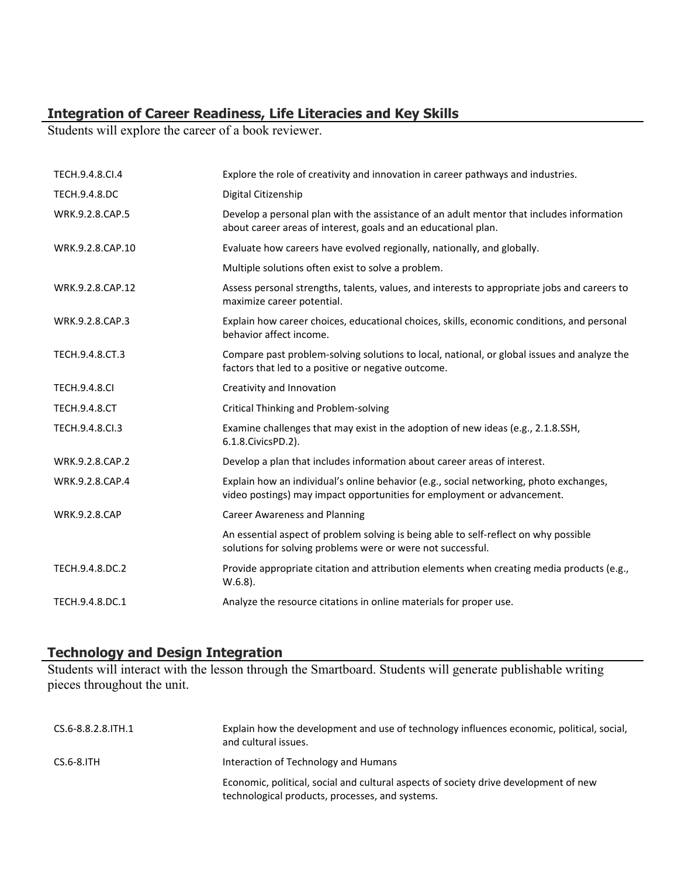## **Integration of Career Readiness, Life Literacies and Key Skills**

Students will explore the career of a book reviewer.

| TECH.9.4.8.CI.4      | Explore the role of creativity and innovation in career pathways and industries.                                                                                  |
|----------------------|-------------------------------------------------------------------------------------------------------------------------------------------------------------------|
| TECH.9.4.8.DC        | Digital Citizenship                                                                                                                                               |
| WRK.9.2.8.CAP.5      | Develop a personal plan with the assistance of an adult mentor that includes information<br>about career areas of interest, goals and an educational plan.        |
| WRK.9.2.8.CAP.10     | Evaluate how careers have evolved regionally, nationally, and globally.                                                                                           |
|                      | Multiple solutions often exist to solve a problem.                                                                                                                |
| WRK.9.2.8.CAP.12     | Assess personal strengths, talents, values, and interests to appropriate jobs and careers to<br>maximize career potential.                                        |
| WRK.9.2.8.CAP.3      | Explain how career choices, educational choices, skills, economic conditions, and personal<br>behavior affect income.                                             |
| TECH.9.4.8.CT.3      | Compare past problem-solving solutions to local, national, or global issues and analyze the<br>factors that led to a positive or negative outcome.                |
| <b>TECH.9.4.8.CI</b> | Creativity and Innovation                                                                                                                                         |
| <b>TECH.9.4.8.CT</b> | Critical Thinking and Problem-solving                                                                                                                             |
| TECH.9.4.8.Cl.3      | Examine challenges that may exist in the adoption of new ideas (e.g., 2.1.8.SSH,<br>6.1.8. Civics PD. 2).                                                         |
| WRK.9.2.8.CAP.2      | Develop a plan that includes information about career areas of interest.                                                                                          |
| WRK.9.2.8.CAP.4      | Explain how an individual's online behavior (e.g., social networking, photo exchanges,<br>video postings) may impact opportunities for employment or advancement. |
| <b>WRK.9.2.8.CAP</b> | <b>Career Awareness and Planning</b>                                                                                                                              |
|                      | An essential aspect of problem solving is being able to self-reflect on why possible<br>solutions for solving problems were or were not successful.               |
| TECH.9.4.8.DC.2      | Provide appropriate citation and attribution elements when creating media products (e.g.,<br>$W.6.8$ ).                                                           |
| TECH.9.4.8.DC.1      | Analyze the resource citations in online materials for proper use.                                                                                                |

## **Technology and Design Integration**

Students will interact with the lesson through the Smartboard. Students will generate publishable writing pieces throughout the unit.

| CS.6-8.8.2.8.ITH.1 | Explain how the development and use of technology influences economic, political, social,<br>and cultural issues.                       |
|--------------------|-----------------------------------------------------------------------------------------------------------------------------------------|
| $CS.6-8.1TH$       | Interaction of Technology and Humans                                                                                                    |
|                    | Economic, political, social and cultural aspects of society drive development of new<br>technological products, processes, and systems. |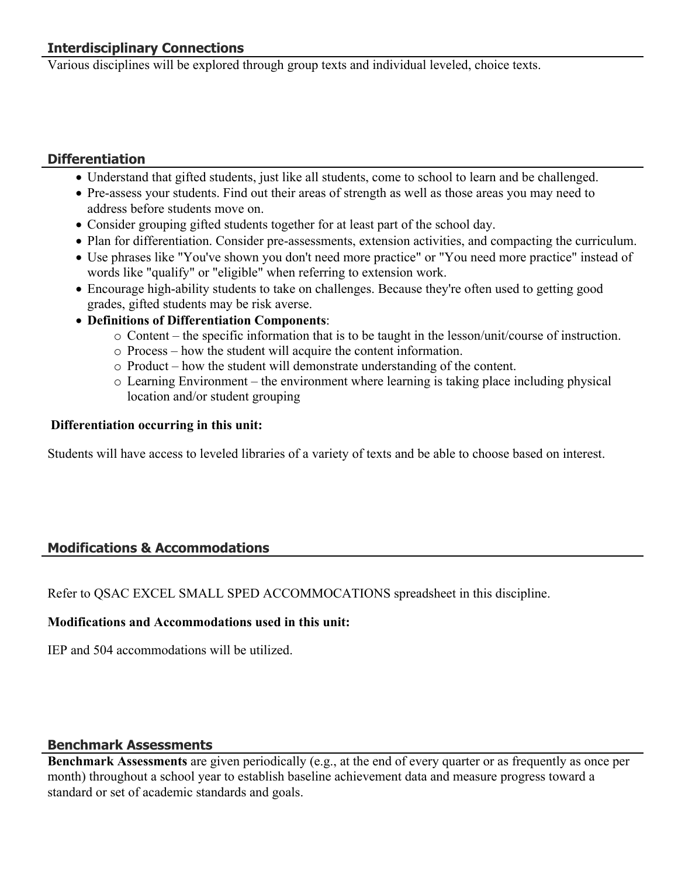Various disciplines will be explored through group texts and individual leveled, choice texts.

## **Differentiation**

- Understand that gifted students, just like all students, come to school to learn and be challenged.
- Pre-assess your students. Find out their areas of strength as well as those areas you may need to address before students move on.
- Consider grouping gifted students together for at least part of the school day.
- Plan for differentiation. Consider pre-assessments, extension activities, and compacting the curriculum.
- Use phrases like "You've shown you don't need more practice" or "You need more practice" instead of words like "qualify" or "eligible" when referring to extension work.
- Encourage high-ability students to take on challenges. Because they're often used to getting good grades, gifted students may be risk averse.
- **Definitions of Differentiation Components**:
	- o Content the specific information that is to be taught in the lesson/unit/course of instruction.
	- o Process how the student will acquire the content information.
	- o Product how the student will demonstrate understanding of the content.
	- o Learning Environment the environment where learning is taking place including physical location and/or student grouping

## **Differentiation occurring in this unit:**

Students will have access to leveled libraries of a variety of texts and be able to choose based on interest.

# **Modifications & Accommodations**

Refer to QSAC EXCEL SMALL SPED ACCOMMOCATIONS spreadsheet in this discipline.

## **Modifications and Accommodations used in this unit:**

IEP and 504 accommodations will be utilized.

# **Benchmark Assessments**

**Benchmark Assessments** are given periodically (e.g., at the end of every quarter or as frequently as once per month) throughout a school year to establish baseline achievement data and measure progress toward a standard or set of academic standards and goals.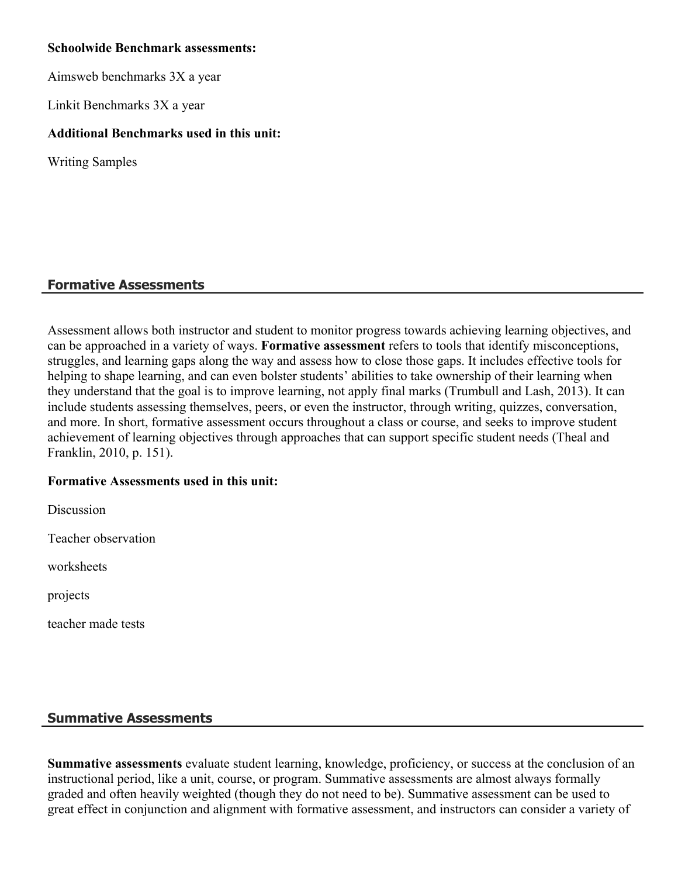## **Schoolwide Benchmark assessments:**

Aimsweb benchmarks 3X a year

Linkit Benchmarks 3X a year

## **Additional Benchmarks used in this unit:**

Writing Samples

## **Formative Assessments**

Assessment allows both instructor and student to monitor progress towards achieving learning objectives, and can be approached in a variety of ways. **Formative assessment** refers to tools that identify misconceptions, struggles, and learning gaps along the way and assess how to close those gaps. It includes effective tools for helping to shape learning, and can even bolster students' abilities to take ownership of their learning when they understand that the goal is to improve learning, not apply final marks (Trumbull and Lash, 2013). It can include students assessing themselves, peers, or even the instructor, through writing, quizzes, conversation, and more. In short, formative assessment occurs throughout a class or course, and seeks to improve student achievement of learning objectives through approaches that can support specific student needs (Theal and Franklin, 2010, p. 151).

## **Formative Assessments used in this unit:**

**Discussion** 

Teacher observation

worksheets

projects

teacher made tests

## **Summative Assessments**

**Summative assessments** evaluate student learning, knowledge, proficiency, or success at the conclusion of an instructional period, like a unit, course, or program. Summative assessments are almost always formally graded and often heavily weighted (though they do not need to be). Summative assessment can be used to great effect in conjunction and alignment with formative assessment, and instructors can consider a variety of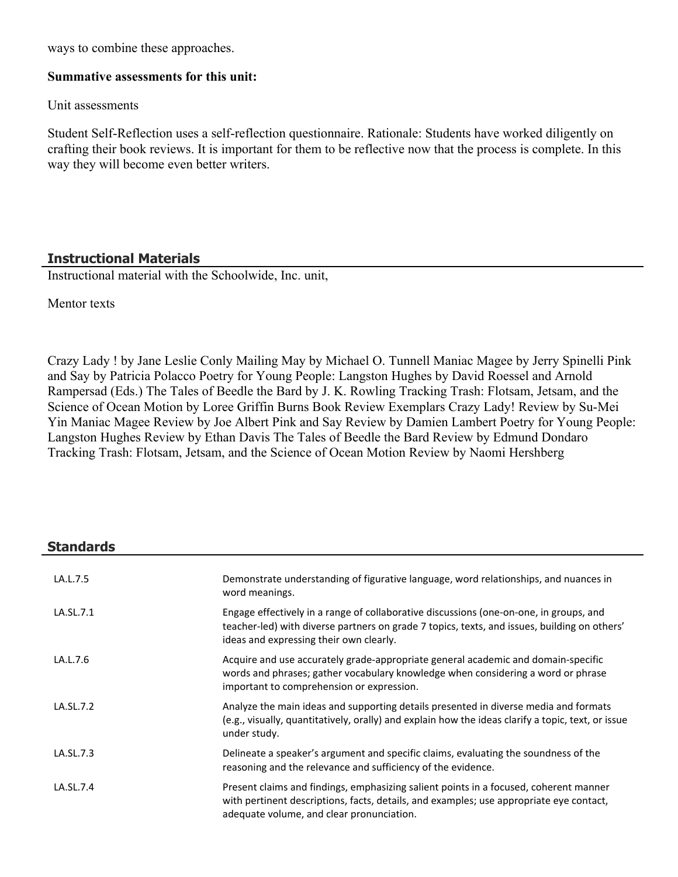ways to combine these approaches.

#### **Summative assessments for this unit:**

Unit assessments

Student Self-Reflection uses a self-reflection questionnaire. Rationale: Students have worked diligently on crafting their book reviews. It is important for them to be reflective now that the process is complete. In this way they will become even better writers.

#### **Instructional Materials**

Instructional material with the Schoolwide, Inc. unit,

Mentor texts

Crazy Lady ! by Jane Leslie Conly Mailing May by Michael O. Tunnell Maniac Magee by Jerry Spinelli Pink and Say by Patricia Polacco Poetry for Young People: Langston Hughes by David Roessel and Arnold Rampersad (Eds.) The Tales of Beedle the Bard by J. K. Rowling Tracking Trash: Flotsam, Jetsam, and the Science of Ocean Motion by Loree Griffin Burns Book Review Exemplars Crazy Lady! Review by Su-Mei Yin Maniac Magee Review by Joe Albert Pink and Say Review by Damien Lambert Poetry for Young People: Langston Hughes Review by Ethan Davis The Tales of Beedle the Bard Review by Edmund Dondaro Tracking Trash: Flotsam, Jetsam, and the Science of Ocean Motion Review by Naomi Hershberg

## **Standards**

| LA.L.7.5  | Demonstrate understanding of figurative language, word relationships, and nuances in<br>word meanings.                                                                                                                            |
|-----------|-----------------------------------------------------------------------------------------------------------------------------------------------------------------------------------------------------------------------------------|
| LA.SL.7.1 | Engage effectively in a range of collaborative discussions (one-on-one, in groups, and<br>teacher-led) with diverse partners on grade 7 topics, texts, and issues, building on others'<br>ideas and expressing their own clearly. |
| LA.L.7.6  | Acquire and use accurately grade-appropriate general academic and domain-specific<br>words and phrases; gather vocabulary knowledge when considering a word or phrase<br>important to comprehension or expression.                |
| LA.SL.7.2 | Analyze the main ideas and supporting details presented in diverse media and formats<br>(e.g., visually, quantitatively, orally) and explain how the ideas clarify a topic, text, or issue<br>under study.                        |
| LA.SL.7.3 | Delineate a speaker's argument and specific claims, evaluating the soundness of the<br>reasoning and the relevance and sufficiency of the evidence.                                                                               |
| LA.SL.7.4 | Present claims and findings, emphasizing salient points in a focused, coherent manner<br>with pertinent descriptions, facts, details, and examples; use appropriate eye contact,<br>adequate volume, and clear pronunciation.     |